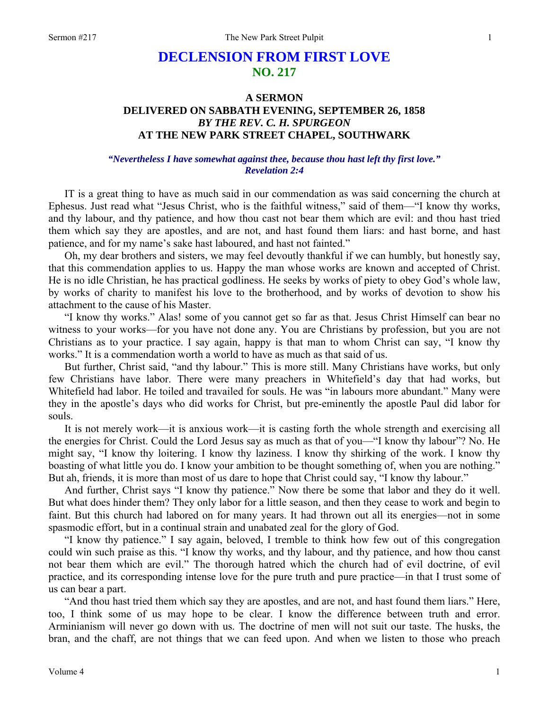# **DECLENSION FROM FIRST LOVE NO. 217**

# **A SERMON DELIVERED ON SABBATH EVENING, SEPTEMBER 26, 1858**  *BY THE REV. C. H. SPURGEON*  **AT THE NEW PARK STREET CHAPEL, SOUTHWARK**

### *"Nevertheless I have somewhat against thee, because thou hast left thy first love." Revelation 2:4*

IT is a great thing to have as much said in our commendation as was said concerning the church at Ephesus. Just read what "Jesus Christ, who is the faithful witness," said of them—"I know thy works, and thy labour, and thy patience, and how thou cast not bear them which are evil: and thou hast tried them which say they are apostles, and are not, and hast found them liars: and hast borne, and hast patience, and for my name's sake hast laboured, and hast not fainted."

Oh, my dear brothers and sisters, we may feel devoutly thankful if we can humbly, but honestly say, that this commendation applies to us. Happy the man whose works are known and accepted of Christ. He is no idle Christian, he has practical godliness. He seeks by works of piety to obey God's whole law, by works of charity to manifest his love to the brotherhood, and by works of devotion to show his attachment to the cause of his Master.

"I know thy works." Alas! some of you cannot get so far as that. Jesus Christ Himself can bear no witness to your works—for you have not done any. You are Christians by profession, but you are not Christians as to your practice. I say again, happy is that man to whom Christ can say, "I know thy works." It is a commendation worth a world to have as much as that said of us.

But further, Christ said, "and thy labour." This is more still. Many Christians have works, but only few Christians have labor. There were many preachers in Whitefield's day that had works, but Whitefield had labor. He toiled and travailed for souls. He was "in labours more abundant." Many were they in the apostle's days who did works for Christ, but pre-eminently the apostle Paul did labor for souls.

It is not merely work—it is anxious work—it is casting forth the whole strength and exercising all the energies for Christ. Could the Lord Jesus say as much as that of you—"I know thy labour"? No. He might say, "I know thy loitering. I know thy laziness. I know thy shirking of the work. I know thy boasting of what little you do. I know your ambition to be thought something of, when you are nothing." But ah, friends, it is more than most of us dare to hope that Christ could say, "I know thy labour."

And further, Christ says "I know thy patience." Now there be some that labor and they do it well. But what does hinder them? They only labor for a little season, and then they cease to work and begin to faint. But this church had labored on for many years. It had thrown out all its energies—not in some spasmodic effort, but in a continual strain and unabated zeal for the glory of God.

"I know thy patience." I say again, beloved, I tremble to think how few out of this congregation could win such praise as this. "I know thy works, and thy labour, and thy patience, and how thou canst not bear them which are evil." The thorough hatred which the church had of evil doctrine, of evil practice, and its corresponding intense love for the pure truth and pure practice—in that I trust some of us can bear a part.

"And thou hast tried them which say they are apostles, and are not, and hast found them liars." Here, too, I think some of us may hope to be clear. I know the difference between truth and error. Arminianism will never go down with us. The doctrine of men will not suit our taste. The husks, the bran, and the chaff, are not things that we can feed upon. And when we listen to those who preach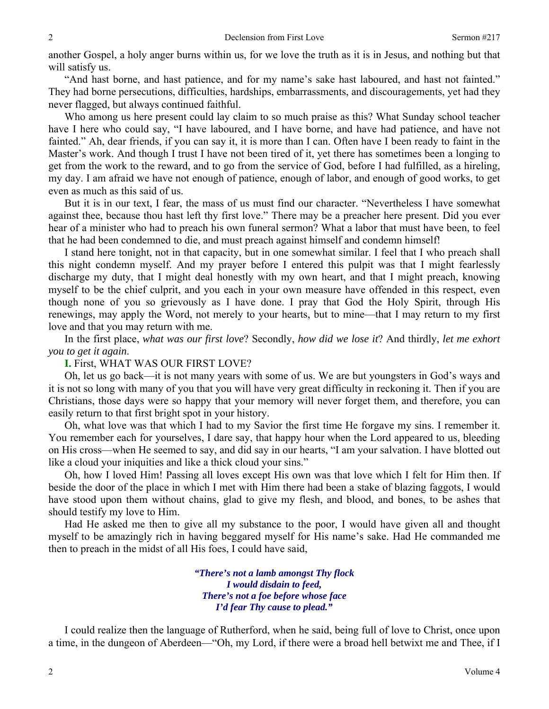another Gospel, a holy anger burns within us, for we love the truth as it is in Jesus, and nothing but that will satisfy us.

"And hast borne, and hast patience, and for my name's sake hast laboured, and hast not fainted." They had borne persecutions, difficulties, hardships, embarrassments, and discouragements, yet had they never flagged, but always continued faithful.

Who among us here present could lay claim to so much praise as this? What Sunday school teacher have I here who could say, "I have laboured, and I have borne, and have had patience, and have not fainted." Ah, dear friends, if you can say it, it is more than I can. Often have I been ready to faint in the Master's work. And though I trust I have not been tired of it, yet there has sometimes been a longing to get from the work to the reward, and to go from the service of God, before I had fulfilled, as a hireling, my day. I am afraid we have not enough of patience, enough of labor, and enough of good works, to get even as much as this said of us.

But it is in our text, I fear, the mass of us must find our character. "Nevertheless I have somewhat against thee, because thou hast left thy first love." There may be a preacher here present. Did you ever hear of a minister who had to preach his own funeral sermon? What a labor that must have been, to feel that he had been condemned to die, and must preach against himself and condemn himself!

I stand here tonight, not in that capacity, but in one somewhat similar. I feel that I who preach shall this night condemn myself. And my prayer before I entered this pulpit was that I might fearlessly discharge my duty, that I might deal honestly with my own heart, and that I might preach, knowing myself to be the chief culprit, and you each in your own measure have offended in this respect, even though none of you so grievously as I have done. I pray that God the Holy Spirit, through His renewings, may apply the Word, not merely to your hearts, but to mine—that I may return to my first love and that you may return with me.

In the first place, *what was our first love*? Secondly, *how did we lose it*? And thirdly, *let me exhort you to get it again*.

## **I.** First, WHAT WAS OUR FIRST LOVE?

Oh, let us go back—it is not many years with some of us. We are but youngsters in God's ways and it is not so long with many of you that you will have very great difficulty in reckoning it. Then if you are Christians, those days were so happy that your memory will never forget them, and therefore, you can easily return to that first bright spot in your history.

Oh, what love was that which I had to my Savior the first time He forgave my sins. I remember it. You remember each for yourselves, I dare say, that happy hour when the Lord appeared to us, bleeding on His cross—when He seemed to say, and did say in our hearts, "I am your salvation. I have blotted out like a cloud your iniquities and like a thick cloud your sins."

Oh, how I loved Him! Passing all loves except His own was that love which I felt for Him then. If beside the door of the place in which I met with Him there had been a stake of blazing faggots, I would have stood upon them without chains, glad to give my flesh, and blood, and bones, to be ashes that should testify my love to Him.

Had He asked me then to give all my substance to the poor, I would have given all and thought myself to be amazingly rich in having beggared myself for His name's sake. Had He commanded me then to preach in the midst of all His foes, I could have said,

> *"There's not a lamb amongst Thy flock I would disdain to feed, There's not a foe before whose face I'd fear Thy cause to plead."*

I could realize then the language of Rutherford, when he said, being full of love to Christ, once upon a time, in the dungeon of Aberdeen—"Oh, my Lord, if there were a broad hell betwixt me and Thee, if I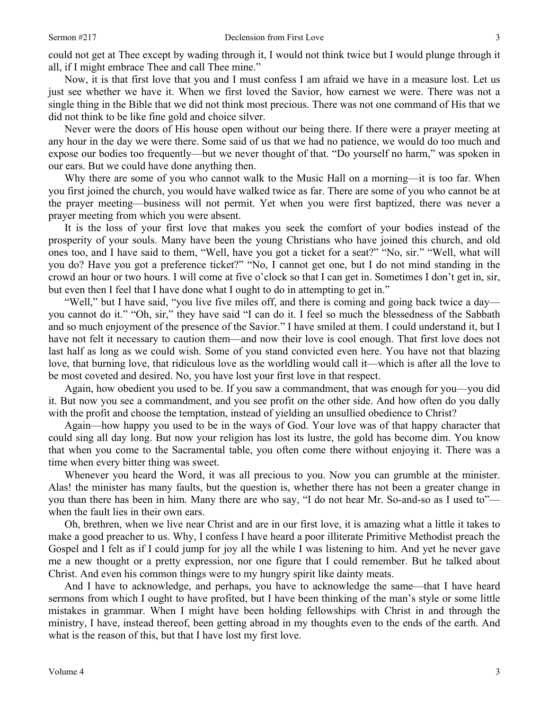could not get at Thee except by wading through it, I would not think twice but I would plunge through it all, if I might embrace Thee and call Thee mine."

Now, it is that first love that you and I must confess I am afraid we have in a measure lost. Let us just see whether we have it. When we first loved the Savior, how earnest we were. There was not a single thing in the Bible that we did not think most precious. There was not one command of His that we did not think to be like fine gold and choice silver.

Never were the doors of His house open without our being there. If there were a prayer meeting at any hour in the day we were there. Some said of us that we had no patience, we would do too much and expose our bodies too frequently—but we never thought of that. "Do yourself no harm," was spoken in our ears. But we could have done anything then.

Why there are some of you who cannot walk to the Music Hall on a morning—it is too far. When you first joined the church, you would have walked twice as far. There are some of you who cannot be at the prayer meeting—business will not permit. Yet when you were first baptized, there was never a prayer meeting from which you were absent.

It is the loss of your first love that makes you seek the comfort of your bodies instead of the prosperity of your souls. Many have been the young Christians who have joined this church, and old ones too, and I have said to them, "Well, have you got a ticket for a seat?" "No, sir." "Well, what will you do? Have you got a preference ticket?" "No, I cannot get one, but I do not mind standing in the crowd an hour or two hours. I will come at five o'clock so that I can get in. Sometimes I don't get in, sir, but even then I feel that I have done what I ought to do in attempting to get in."

"Well," but I have said, "you live five miles off, and there is coming and going back twice a day you cannot do it." "Oh, sir," they have said "I can do it. I feel so much the blessedness of the Sabbath and so much enjoyment of the presence of the Savior." I have smiled at them. I could understand it, but I have not felt it necessary to caution them—and now their love is cool enough. That first love does not last half as long as we could wish. Some of you stand convicted even here. You have not that blazing love, that burning love, that ridiculous love as the worldling would call it—which is after all the love to be most coveted and desired. No, you have lost your first love in that respect.

Again, how obedient you used to be. If you saw a commandment, that was enough for you—you did it. But now you see a commandment, and you see profit on the other side. And how often do you dally with the profit and choose the temptation, instead of yielding an unsullied obedience to Christ?

Again—how happy you used to be in the ways of God. Your love was of that happy character that could sing all day long. But now your religion has lost its lustre, the gold has become dim. You know that when you come to the Sacramental table, you often come there without enjoying it. There was a time when every bitter thing was sweet.

Whenever you heard the Word, it was all precious to you. Now you can grumble at the minister. Alas! the minister has many faults, but the question is, whether there has not been a greater change in you than there has been in him*.* Many there are who say, "I do not hear Mr. So-and-so as I used to" when the fault lies in their own ears.

Oh, brethren, when we live near Christ and are in our first love, it is amazing what a little it takes to make a good preacher to us. Why, I confess I have heard a poor illiterate Primitive Methodist preach the Gospel and I felt as if I could jump for joy all the while I was listening to him. And yet he never gave me a new thought or a pretty expression, nor one figure that I could remember. But he talked about Christ. And even his common things were to my hungry spirit like dainty meats.

And I have to acknowledge, and perhaps, you have to acknowledge the same—that I have heard sermons from which I ought to have profited, but I have been thinking of the man's style or some little mistakes in grammar. When I might have been holding fellowships with Christ in and through the ministry, I have, instead thereof, been getting abroad in my thoughts even to the ends of the earth. And what is the reason of this, but that I have lost my first love.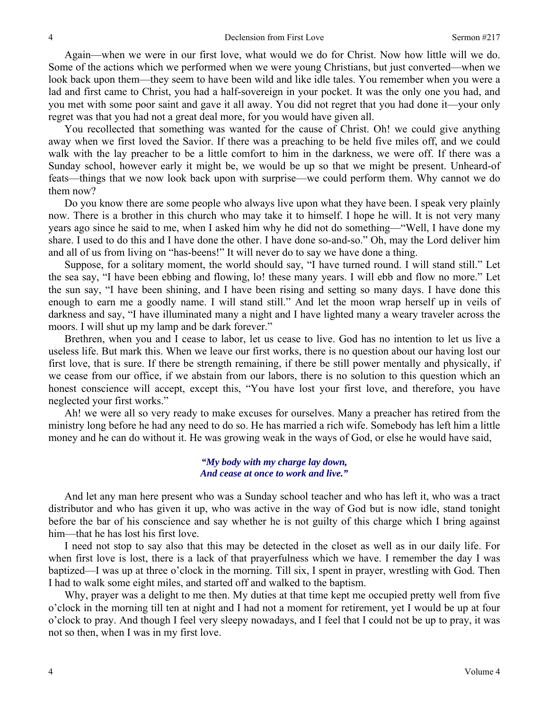Again—when we were in our first love, what would we do for Christ. Now how little will we do. Some of the actions which we performed when we were young Christians, but just converted—when we look back upon them—they seem to have been wild and like idle tales. You remember when you were a lad and first came to Christ, you had a half-sovereign in your pocket. It was the only one you had, and you met with some poor saint and gave it all away. You did not regret that you had done it—your only regret was that you had not a great deal more, for you would have given all.

You recollected that something was wanted for the cause of Christ. Oh! we could give anything away when we first loved the Savior. If there was a preaching to be held five miles off, and we could walk with the lay preacher to be a little comfort to him in the darkness, we were off. If there was a Sunday school, however early it might be, we would be up so that we might be present. Unheard-of feats—things that we now look back upon with surprise—we could perform them. Why cannot we do them now?

Do you know there are some people who always live upon what they have been. I speak very plainly now. There is a brother in this church who may take it to himself. I hope he will. It is not very many years ago since he said to me, when I asked him why he did not do something—"Well, I have done my share. I used to do this and I have done the other. I have done so-and-so." Oh, may the Lord deliver him and all of us from living on "has-beens!" It will never do to say we have done a thing.

Suppose, for a solitary moment, the world should say, "I have turned round. I will stand still." Let the sea say, "I have been ebbing and flowing, lo! these many years. I will ebb and flow no more." Let the sun say, "I have been shining, and I have been rising and setting so many days. I have done this enough to earn me a goodly name. I will stand still." And let the moon wrap herself up in veils of darkness and say, "I have illuminated many a night and I have lighted many a weary traveler across the moors. I will shut up my lamp and be dark forever."

Brethren, when you and I cease to labor, let us cease to live. God has no intention to let us live a useless life. But mark this. When we leave our first works, there is no question about our having lost our first love, that is sure. If there be strength remaining, if there be still power mentally and physically, if we cease from our office, if we abstain from our labors, there is no solution to this question which an honest conscience will accept, except this, "You have lost your first love, and therefore, you have neglected your first works."

Ah! we were all so very ready to make excuses for ourselves. Many a preacher has retired from the ministry long before he had any need to do so. He has married a rich wife. Somebody has left him a little money and he can do without it. He was growing weak in the ways of God, or else he would have said,

> *"My body with my charge lay down, And cease at once to work and live."*

And let any man here present who was a Sunday school teacher and who has left it, who was a tract distributor and who has given it up, who was active in the way of God but is now idle, stand tonight before the bar of his conscience and say whether he is not guilty of this charge which I bring against him—that he has lost his first love.

I need not stop to say also that this may be detected in the closet as well as in our daily life. For when first love is lost, there is a lack of that prayerfulness which we have. I remember the day I was baptized—I was up at three o'clock in the morning. Till six, I spent in prayer, wrestling with God. Then I had to walk some eight miles, and started off and walked to the baptism.

Why, prayer was a delight to me then. My duties at that time kept me occupied pretty well from five o'clock in the morning till ten at night and I had not a moment for retirement, yet I would be up at four o'clock to pray. And though I feel very sleepy nowadays, and I feel that I could not be up to pray, it was not so then, when I was in my first love.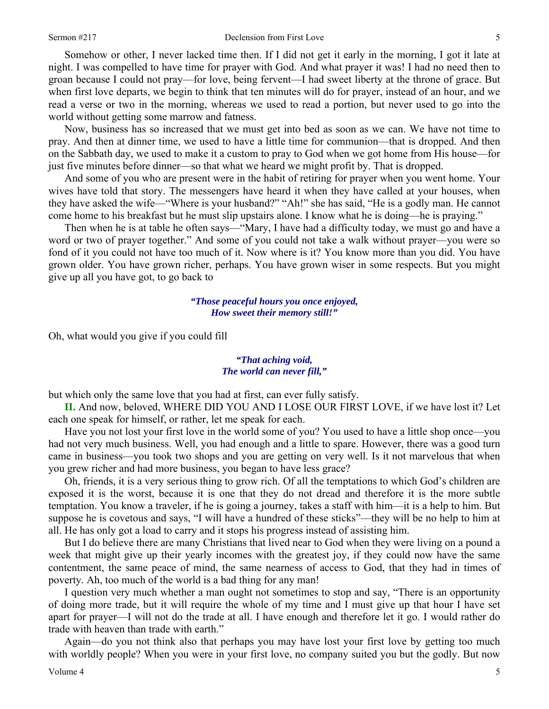#### Sermon #217 Declension from First Love

Somehow or other, I never lacked time then. If I did not get it early in the morning, I got it late at night. I was compelled to have time for prayer with God. And what prayer it was! I had no need then to groan because I could not pray—for love, being fervent—I had sweet liberty at the throne of grace. But when first love departs, we begin to think that ten minutes will do for prayer, instead of an hour, and we read a verse or two in the morning, whereas we used to read a portion, but never used to go into the world without getting some marrow and fatness.

Now, business has so increased that we must get into bed as soon as we can. We have not time to pray. And then at dinner time, we used to have a little time for communion—that is dropped. And then on the Sabbath day, we used to make it a custom to pray to God when we got home from His house—for just five minutes before dinner—so that what we heard we might profit by. That is dropped.

And some of you who are present were in the habit of retiring for prayer when you went home. Your wives have told that story. The messengers have heard it when they have called at your houses, when they have asked the wife—"Where is your husband?" "Ah!" she has said, "He is a godly man. He cannot come home to his breakfast but he must slip upstairs alone. I know what he is doing—he is praying."

Then when he is at table he often says—"Mary, I have had a difficulty today, we must go and have a word or two of prayer together." And some of you could not take a walk without prayer—you were so fond of it you could not have too much of it. Now where is it? You know more than you did. You have grown older. You have grown richer, perhaps. You have grown wiser in some respects. But you might give up all you have got, to go back to

> *"Those peaceful hours you once enjoyed, How sweet their memory still!"*

Oh, what would you give if you could fill

#### *"That aching void, The world can never fill,"*

but which only the same love that you had at first, can ever fully satisfy.

**II.** And now, beloved, WHERE DID YOU AND I LOSE OUR FIRST LOVE, if we have lost it? Let each one speak for himself, or rather, let me speak for each.

Have you not lost your first love in the world some of you? You used to have a little shop once—you had not very much business. Well, you had enough and a little to spare. However, there was a good turn came in business—you took two shops and you are getting on very well. Is it not marvelous that when you grew richer and had more business, you began to have less grace?

Oh, friends, it is a very serious thing to grow rich. Of all the temptations to which God's children are exposed it is the worst, because it is one that they do not dread and therefore it is the more subtle temptation. You know a traveler, if he is going a journey, takes a staff with him—it is a help to him. But suppose he is covetous and says, "I will have a hundred of these sticks"—they will be no help to him at all. He has only got a load to carry and it stops his progress instead of assisting him.

But I do believe there are many Christians that lived near to God when they were living on a pound a week that might give up their yearly incomes with the greatest joy, if they could now have the same contentment, the same peace of mind, the same nearness of access to God, that they had in times of poverty. Ah, too much of the world is a bad thing for any man!

I question very much whether a man ought not sometimes to stop and say, "There is an opportunity of doing more trade, but it will require the whole of my time and I must give up that hour I have set apart for prayer—I will not do the trade at all. I have enough and therefore let it go. I would rather do trade with heaven than trade with earth."

Again—do you not think also that perhaps you may have lost your first love by getting too much with worldly people? When you were in your first love, no company suited you but the godly. But now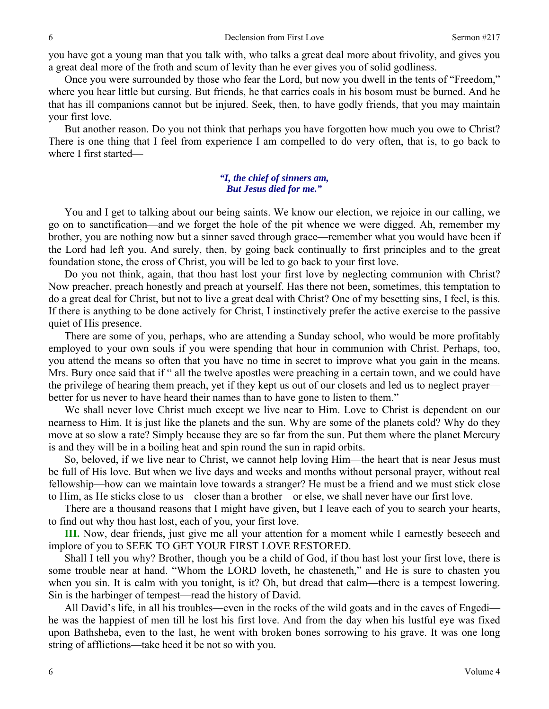you have got a young man that you talk with, who talks a great deal more about frivolity, and gives you a great deal more of the froth and scum of levity than he ever gives you of solid godliness.

Once you were surrounded by those who fear the Lord, but now you dwell in the tents of "Freedom," where you hear little but cursing. But friends, he that carries coals in his bosom must be burned. And he that has ill companions cannot but be injured. Seek, then, to have godly friends, that you may maintain your first love.

But another reason. Do you not think that perhaps you have forgotten how much you owe to Christ? There is one thing that I feel from experience I am compelled to do very often, that is, to go back to where I first started—

#### *"I, the chief of sinners am, But Jesus died for me."*

You and I get to talking about our being saints. We know our election, we rejoice in our calling, we go on to sanctification—and we forget the hole of the pit whence we were digged. Ah, remember my brother, you are nothing now but a sinner saved through grace—remember what you would have been if the Lord had left you. And surely, then, by going back continually to first principles and to the great foundation stone, the cross of Christ, you will be led to go back to your first love.

Do you not think, again, that thou hast lost your first love by neglecting communion with Christ? Now preacher, preach honestly and preach at yourself. Has there not been, sometimes, this temptation to do a great deal for Christ, but not to live a great deal with Christ? One of my besetting sins, I feel, is this. If there is anything to be done actively for Christ, I instinctively prefer the active exercise to the passive quiet of His presence.

There are some of you, perhaps, who are attending a Sunday school, who would be more profitably employed to your own souls if you were spending that hour in communion with Christ. Perhaps, too, you attend the means so often that you have no time in secret to improve what you gain in the means. Mrs. Bury once said that if " all the twelve apostles were preaching in a certain town, and we could have the privilege of hearing them preach, yet if they kept us out of our closets and led us to neglect prayer better for us never to have heard their names than to have gone to listen to them."

We shall never love Christ much except we live near to Him. Love to Christ is dependent on our nearness to Him. It is just like the planets and the sun. Why are some of the planets cold? Why do they move at so slow a rate? Simply because they are so far from the sun. Put them where the planet Mercury is and they will be in a boiling heat and spin round the sun in rapid orbits.

So, beloved, if we live near to Christ, we cannot help loving Him—the heart that is near Jesus must be full of His love. But when we live days and weeks and months without personal prayer, without real fellowship—how can we maintain love towards a stranger? He must be a friend and we must stick close to Him, as He sticks close to us—closer than a brother—or else, we shall never have our first love.

There are a thousand reasons that I might have given, but I leave each of you to search your hearts, to find out why thou hast lost, each of you, your first love.

**III.** Now, dear friends, just give me all your attention for a moment while I earnestly beseech and implore of you to SEEK TO GET YOUR FIRST LOVE RESTORED.

Shall I tell you why? Brother, though you be a child of God, if thou hast lost your first love, there is some trouble near at hand. "Whom the LORD loveth, he chasteneth," and He is sure to chasten you when you sin. It is calm with you tonight, is it? Oh, but dread that calm—there is a tempest lowering. Sin is the harbinger of tempest—read the history of David.

All David's life, in all his troubles—even in the rocks of the wild goats and in the caves of Engedi he was the happiest of men till he lost his first love. And from the day when his lustful eye was fixed upon Bathsheba, even to the last, he went with broken bones sorrowing to his grave. It was one long string of afflictions—take heed it be not so with you.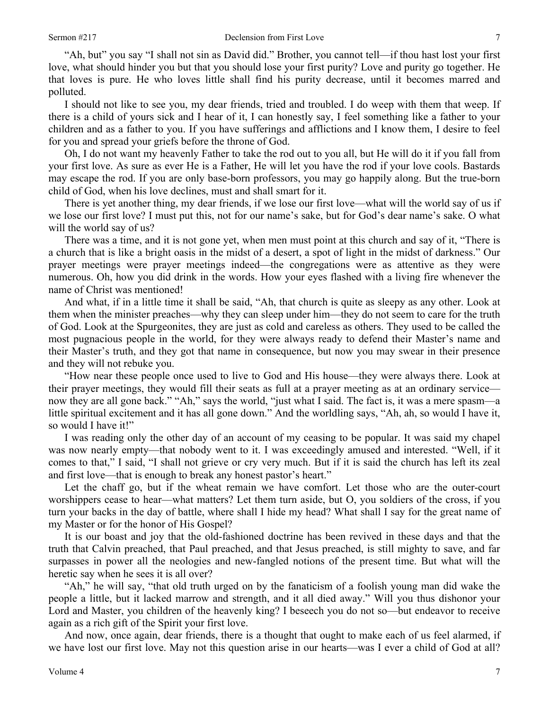"Ah, but" you say "I shall not sin as David did." Brother, you cannot tell—if thou hast lost your first love, what should hinder you but that you should lose your first purity? Love and purity go together. He that loves is pure. He who loves little shall find his purity decrease, until it becomes marred and polluted.

I should not like to see you, my dear friends, tried and troubled. I do weep with them that weep. If there is a child of yours sick and I hear of it, I can honestly say, I feel something like a father to your children and as a father to you. If you have sufferings and afflictions and I know them, I desire to feel for you and spread your griefs before the throne of God.

Oh, I do not want my heavenly Father to take the rod out to you all, but He will do it if you fall from your first love. As sure as ever He is a Father, He will let you have the rod if your love cools. Bastards may escape the rod. If you are only base-born professors, you may go happily along. But the true-born child of God, when his love declines, must and shall smart for it.

There is yet another thing, my dear friends, if we lose our first love—what will the world say of us if we lose our first love? I must put this, not for our name's sake, but for God's dear name's sake. O what will the world say of us?

There was a time, and it is not gone yet, when men must point at this church and say of it, "There is a church that is like a bright oasis in the midst of a desert, a spot of light in the midst of darkness." Our prayer meetings were prayer meetings indeed—the congregations were as attentive as they were numerous. Oh, how you did drink in the words. How your eyes flashed with a living fire whenever the name of Christ was mentioned!

And what, if in a little time it shall be said, "Ah, that church is quite as sleepy as any other. Look at them when the minister preaches—why they can sleep under him—they do not seem to care for the truth of God. Look at the Spurgeonites, they are just as cold and careless as others. They used to be called the most pugnacious people in the world, for they were always ready to defend their Master's name and their Master's truth, and they got that name in consequence, but now you may swear in their presence and they will not rebuke you.

"How near these people once used to live to God and His house—they were always there. Look at their prayer meetings, they would fill their seats as full at a prayer meeting as at an ordinary service now they are all gone back." "Ah," says the world, "just what I said. The fact is, it was a mere spasm—a little spiritual excitement and it has all gone down." And the worldling says, "Ah, ah, so would I have it, so would I have it!"

I was reading only the other day of an account of my ceasing to be popular. It was said my chapel was now nearly empty—that nobody went to it. I was exceedingly amused and interested. "Well, if it comes to that," I said, "I shall not grieve or cry very much. But if it is said the church has left its zeal and first love—that is enough to break any honest pastor's heart."

Let the chaff go, but if the wheat remain we have comfort. Let those who are the outer-court worshippers cease to hear—what matters? Let them turn aside, but O, you soldiers of the cross, if you turn your backs in the day of battle, where shall I hide my head? What shall I say for the great name of my Master or for the honor of His Gospel?

It is our boast and joy that the old-fashioned doctrine has been revived in these days and that the truth that Calvin preached, that Paul preached, and that Jesus preached, is still mighty to save, and far surpasses in power all the neologies and new-fangled notions of the present time. But what will the heretic say when he sees it is all over?

"Ah," he will say, "that old truth urged on by the fanaticism of a foolish young man did wake the people a little, but it lacked marrow and strength, and it all died away." Will you thus dishonor your Lord and Master, you children of the heavenly king? I beseech you do not so—but endeavor to receive again as a rich gift of the Spirit your first love.

And now, once again, dear friends, there is a thought that ought to make each of us feel alarmed, if we have lost our first love. May not this question arise in our hearts—was I ever a child of God at all?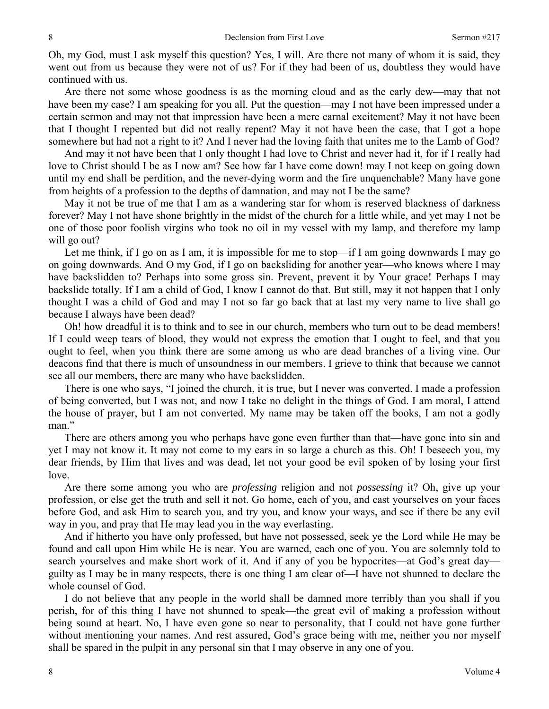Oh, my God, must I ask myself this question? Yes, I will. Are there not many of whom it is said, they went out from us because they were not of us? For if they had been of us, doubtless they would have continued with us.

Are there not some whose goodness is as the morning cloud and as the early dew—may that not have been my case? I am speaking for you all. Put the question—may I not have been impressed under a certain sermon and may not that impression have been a mere carnal excitement? May it not have been that I thought I repented but did not really repent? May it not have been the case, that I got a hope somewhere but had not a right to it? And I never had the loving faith that unites me to the Lamb of God?

And may it not have been that I only thought I had love to Christ and never had it, for if I really had love to Christ should I be as I now am? See how far I have come down! may I not keep on going down until my end shall be perdition, and the never-dying worm and the fire unquenchable? Many have gone from heights of a profession to the depths of damnation, and may not I be the same?

May it not be true of me that I am as a wandering star for whom is reserved blackness of darkness forever? May I not have shone brightly in the midst of the church for a little while, and yet may I not be one of those poor foolish virgins who took no oil in my vessel with my lamp, and therefore my lamp will go out?

Let me think, if I go on as I am, it is impossible for me to stop—if I am going downwards I may go on going downwards. And O my God, if I go on backsliding for another year—who knows where I may have backslidden to? Perhaps into some gross sin. Prevent, prevent it by Your grace! Perhaps I may backslide totally. If I am a child of God, I know I cannot do that. But still, may it not happen that I only thought I was a child of God and may I not so far go back that at last my very name to live shall go because I always have been dead?

Oh! how dreadful it is to think and to see in our church, members who turn out to be dead members! If I could weep tears of blood, they would not express the emotion that I ought to feel, and that you ought to feel, when you think there are some among us who are dead branches of a living vine. Our deacons find that there is much of unsoundness in our members. I grieve to think that because we cannot see all our members, there are many who have backslidden.

There is one who says, "I joined the church, it is true, but I never was converted. I made a profession of being converted, but I was not, and now I take no delight in the things of God. I am moral, I attend the house of prayer, but I am not converted. My name may be taken off the books, I am not a godly man."

There are others among you who perhaps have gone even further than that—have gone into sin and yet I may not know it. It may not come to my ears in so large a church as this. Oh! I beseech you, my dear friends, by Him that lives and was dead, let not your good be evil spoken of by losing your first love.

Are there some among you who are *professing* religion and not *possessing* it? Oh, give up your profession, or else get the truth and sell it not. Go home, each of you, and cast yourselves on your faces before God, and ask Him to search you, and try you, and know your ways, and see if there be any evil way in you, and pray that He may lead you in the way everlasting.

And if hitherto you have only professed, but have not possessed, seek ye the Lord while He may be found and call upon Him while He is near. You are warned, each one of you. You are solemnly told to search yourselves and make short work of it. And if any of you be hypocrites—at God's great day guilty as I may be in many respects, there is one thing I am clear of—I have not shunned to declare the whole counsel of God.

I do not believe that any people in the world shall be damned more terribly than you shall if you perish, for of this thing I have not shunned to speak—the great evil of making a profession without being sound at heart. No, I have even gone so near to personality, that I could not have gone further without mentioning your names. And rest assured, God's grace being with me, neither you nor myself shall be spared in the pulpit in any personal sin that I may observe in any one of you.